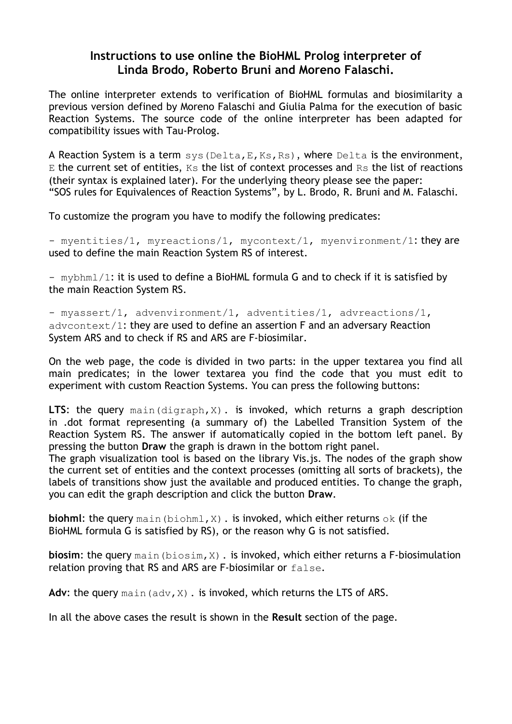## **Instructions to use online the BioHML Prolog interpreter of Linda Brodo, Roberto Bruni and Moreno Falaschi.**

The online interpreter extends to verification of BioHML formulas and biosimilarity a previous version defined by Moreno Falaschi and Giulia Palma for the execution of basic Reaction Systems. The source code of the online interpreter has been adapted for compatibility issues with Tau-Prolog.

A Reaction System is a term  $sys(Delta, E, Ks, Rs)$ , where Delta is the environment,  $E$  the current set of entities,  $Ks$  the list of context processes and  $Rs$  the list of reactions (their syntax is explained later). For the underlying theory please see the paper: "SOS rules for Equivalences of Reaction Systems", by L. Brodo, R. Bruni and M. Falaschi.

To customize the program you have to modify the following predicates:

- myentities/1, myreactions/1, mycontext/1, myenvironment/1: they are used to define the main Reaction System RS of interest.

- mybhml/1: it is used to define a BioHML formula G and to check if it is satisfied by the main Reaction System RS.

- myassert/1, advenvironment/1, adventities/1, advreactions/1, advcontext/1: they are used to define an assertion F and an adversary Reaction System ARS and to check if RS and ARS are F-biosimilar.

On the web page, the code is divided in two parts: in the upper textarea you find all main predicates; in the lower textarea you find the code that you must edit to experiment with custom Reaction Systems. You can press the following buttons:

LTS: the query main(digraph,X). is invoked, which returns a graph description in .dot format representing (a summary of) the Labelled Transition System of the Reaction System RS. The answer if automatically copied in the bottom left panel. By pressing the button **Draw** the graph is drawn in the bottom right panel.

The graph visualization tool is based on the library Vis.js. The nodes of the graph show the current set of entities and the context processes (omitting all sorts of brackets), the labels of transitions show just the available and produced entities. To change the graph, you can edit the graph description and click the button **Draw**.

**biohml:** the query main (biohml, X). is invoked, which either returns ok (if the BioHML formula G is satisfied by RS), or the reason why G is not satisfied.

**biosim:** the query main (biosim, X). is invoked, which either returns a F-biosimulation relation proving that RS and ARS are F-biosimilar or false.

Adv: the query main (adv, X). is invoked, which returns the LTS of ARS.

In all the above cases the result is shown in the **Result** section of the page.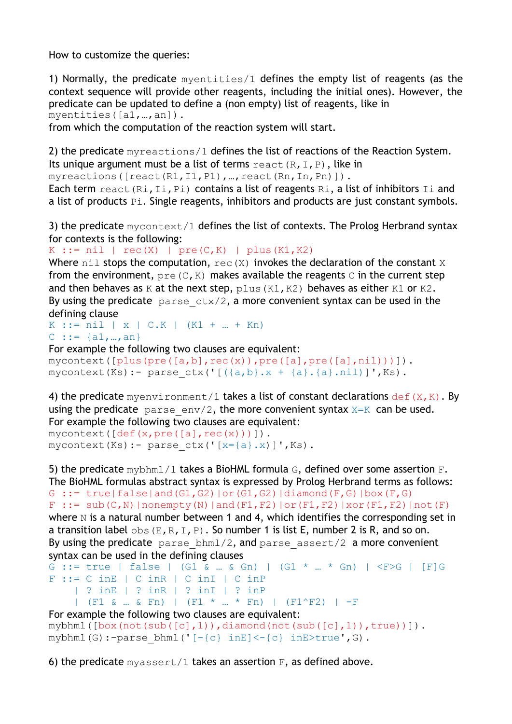How to customize the queries:

1) Normally, the predicate myentities/1 defines the empty list of reagents (as the context sequence will provide other reagents, including the initial ones). However, the predicate can be updated to define a (non empty) list of reagents, like in myentities([a1,…,an]).

from which the computation of the reaction system will start.

2) the predicate myreactions/1 defines the list of reactions of the Reaction System. Its unique argument must be a list of terms  $\text{react}(R,I,P)$ , like in

myreactions([react(R1,I1,P1),…,react(Rn,In,Pn)]).

Each term react  $(Ri, Ii, Pi)$  contains a list of reagents  $Ri$ , a list of inhibitors  $Ii$  and a list of products Pi. Single reagents, inhibitors and products are just constant symbols.

3) the predicate  $m$ ycontext/1 defines the list of contexts. The Prolog Herbrand syntax for contexts is the following:

K ::=  $nil$  |  $rec(X)$  |  $pre(C,K)$  |  $plus(K1,K2)$ 

Where  $\text{nil}$  stops the computation,  $\text{rec}(X)$  invokes the declaration of the constant X from the environment,  $pre(C,K)$  makes available the reagents C in the current step and then behaves as K at the next step,  $plus(K1, K2)$  behaves as either K1 or K2. By using the predicate  $parse\_ctx/2$ , a more convenient syntax can be used in the defining clause

 $K := \text{nil} \mid x \mid C.K \mid (K1 + ... + Kn)$  $C := \{a1, ..., an\}$ 

For example the following two clauses are equivalent:

```
mycontext([plus(pre([a,b],rec(x)),pre([a],pre([a],nil)))]).
mycontext(Ks):- parse ctx('[({a,b}.x + {a}.{a}.ni])]',Ks).
```
4) the predicate myenvironment/1 takes a list of constant declarations  $def(X,K)$ . By using the predicate parse  $env/2$ , the more convenient syntax  $X=K$  can be used. For example the following two clauses are equivalent:  $mycontext([def(x,pre([a],rec(x)))]).$ mycontext(Ks):- parse  $ctx('[x=[a].x)]',Ks$ ).

5) the predicate  $mybbm1/1$  takes a BioHML formula G, defined over some assertion F. The BioHML formulas abstract syntax is expressed by Prolog Herbrand terms as follows: G ::= true|false|and(G1,G2)|or(G1,G2)|diamond(F,G)|box(F,G)  $F$  ::= sub(C,N)|nonempty(N)|and(F1,F2)|or(F1,F2)|xor(F1,F2)|not(F) where  $N$  is a natural number between 1 and 4, which identifies the corresponding set in a transition label  $\text{obs}(E,R,I,P)$ . So number 1 is list E, number 2 is R, and so on. By using the predicate parse  $bhml/2$ , and parse assert/2 a more convenient syntax can be used in the defining clauses G ::= true | false | (G1 & ... & Gn) | (G1 \* ... \* Gn) |  $\langle$ F>G | [F]G

```
F ::= C inE | C inR | C inI | C inP
      | ? inE | ? inR | ? inI | ? inP 
      | (F1 & … & Fn) | (F1 * … * Fn) | (F1^F2) | -F
For example the following two clauses are equivalent:
mybbml([box(not(sub([c],1)),diamond(mot(sub([c],1)), diamond(not(sub([c],1)),true))]).
```

```
mybhml(G):-parse bhml('[-{c} \text{ in }E] < -{c} inE>true',G).
```
6) the predicate  $myassert/1$  takes an assertion  $F$ , as defined above.